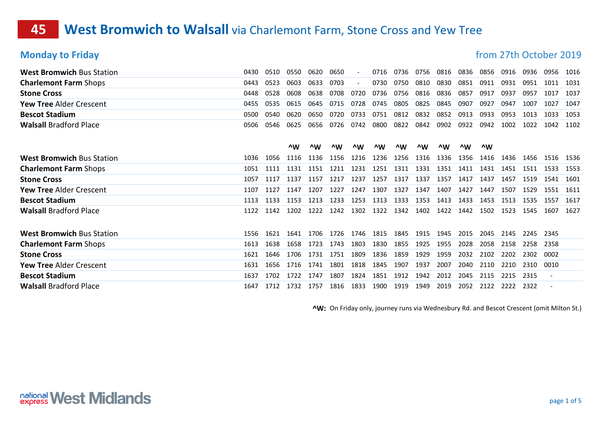### **45 West Bromwich to Walsall** via Charlemont Farm, Stone Cross and Yew Tree

**Monday to Friday matrice 3019 Monday to Friday from 27th October 2019** 

| <b>West Bromwich Bus Station</b> | 0430 | 0510 | 0550 | 0620   | 0650 |        | 0716 | 0736 | 0756 | 0816 | 0836 | 0856 | 0916 | 0936 | 0956 | 1016 |
|----------------------------------|------|------|------|--------|------|--------|------|------|------|------|------|------|------|------|------|------|
| <b>Charlemont Farm Shops</b>     | 0443 | 0523 | 0603 | 0633   | 0703 |        | 0730 | 0750 | 0810 | 0830 | 0851 | 0911 | 0931 | 0951 | 1011 | 1031 |
| <b>Stone Cross</b>               | 0448 | 0528 | 0608 | 0638   | 0708 | 0720   | 0736 | 0756 | 0816 | 0836 | 0857 | 0917 | 0937 | 0957 | 1017 | 1037 |
| <b>Yew Tree Alder Crescent</b>   | 0455 | 0535 | 0615 | 0645   | 0715 | 0728   | 0745 | 0805 | 0825 | 0845 | 0907 | 0927 | 0947 | 1007 | 1027 | 1047 |
| <b>Bescot Stadium</b>            | 0500 | 0540 | 0620 | 0650   | 0720 | 0733   | 0751 | 0812 | 0832 | 0852 | 0913 | 0933 | 0953 | 1013 | 1033 | 1053 |
| <b>Walsall Bradford Place</b>    | 0506 | 0546 | 0625 | 0656   | 0726 | 0742   | 0800 | 0822 | 0842 | 0902 | 0922 | 0942 | 1002 | 1022 | 1042 | 1102 |
|                                  |      |      |      |        |      |        |      |      |      |      |      |      |      |      |      |      |
|                                  |      |      | ^W   | $\sim$ | ^W   | $\sim$ | ^W   | ^W   | ^W   | ^W   | ^W   | ^W   |      |      |      |      |
| <b>West Bromwich Bus Station</b> | 1036 | 1056 | 1116 | 1136   | 1156 | 1216   | 1236 | 1256 | 1316 | 1336 | 1356 | 1416 | 1436 | 1456 | 1516 | 1536 |
| <b>Charlemont Farm Shops</b>     | 1051 | 1111 | 1131 | 1151   | 1211 | 1231   | 1251 | 1311 | 1331 | 1351 | 1411 | 1431 | 1451 | 1511 | 1533 | 1553 |
| <b>Stone Cross</b>               | 1057 | 1117 | 1137 | 1157   | 1217 | 1237   | 1257 | 1317 | 1337 | 1357 | 1417 | 1437 | 1457 | 1519 | 1541 | 1601 |
| <b>Yew Tree Alder Crescent</b>   | 1107 | 1127 | 1147 | 1207   | 1227 | 1247   | 1307 | 1327 | 1347 | 1407 | 1427 | 1447 | 1507 | 1529 | 1551 | 1611 |
| <b>Bescot Stadium</b>            | 1113 | 1133 | 1153 | 1213   | 1233 | 1253   | 1313 | 1333 | 1353 | 1413 | 1433 | 1453 | 1513 | 1535 | 1557 | 1617 |
| <b>Walsall Bradford Place</b>    | 1122 | 1142 | 1202 | 1222   | 1242 | 1302   | 1322 | 1342 | 1402 | 1422 | 1442 | 1502 | 1523 | 1545 | 1607 | 1627 |
|                                  |      |      |      |        |      |        |      |      |      |      |      |      |      |      |      |      |
| <b>West Bromwich Bus Station</b> | 1556 | 1621 | 1641 | 1706   | 1726 | 1746   | 1815 | 1845 | 1915 | 1945 | 2015 | 2045 | 2145 | 2245 | 2345 |      |
| <b>Charlemont Farm Shops</b>     | 1613 | 1638 | 1658 | 1723   | 1743 | 1803   | 1830 | 1855 | 1925 | 1955 | 2028 | 2058 | 2158 | 2258 | 2358 |      |
| <b>Stone Cross</b>               | 1621 | 1646 | 1706 | 1731   | 1751 | 1809   | 1836 | 1859 | 1929 | 1959 | 2032 | 2102 | 2202 | 2302 | 0002 |      |
| <b>Yew Tree Alder Crescent</b>   | 1631 | 1656 | 1716 | 1741   | 1801 | 1818   | 1845 | 1907 | 1937 | 2007 | 2040 | 2110 | 2210 | 2310 | 0010 |      |
| <b>Bescot Stadium</b>            | 1637 | 1702 | 1722 | 1747   | 1807 | 1824   | 1851 | 1912 | 1942 | 2012 | 2045 | 2115 | 2215 | 2315 |      |      |
| <b>Walsall Bradford Place</b>    | 1647 | 1712 | 1732 | 1757   | 1816 | 1833   | 1900 | 1919 | 1949 | 2019 | 2052 | 2122 | 2222 | 2322 |      |      |

^W: On Friday only, journey runs via Wednesbury Rd. and Bescot Crescent (omit Milton St.)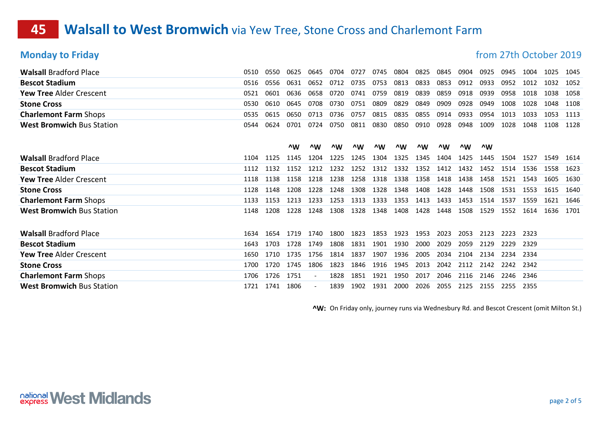## **45 Walsall to West Bromwich** via Yew Tree, Stone Cross and Charlemont Farm

**Monday to Friday matrice 2019 Monday to Friday from 27th October 2019** 

| <b>Walsall Bradford Place</b>    | 0510 | 0550 | 0625 | 0645 | 0704 | 0727 | 0745 | 0804 | 0825 | 0845 | 0904   | 0925 | 0945 | 1004 | 1025 | 1045 |
|----------------------------------|------|------|------|------|------|------|------|------|------|------|--------|------|------|------|------|------|
| <b>Bescot Stadium</b>            | 0516 | 0556 | 0631 | 0652 | 0712 | 0735 | 0753 | 0813 | 0833 | 0853 | 0912   | 0933 | 0952 | 1012 | 1032 | 1052 |
| Yew Tree Alder Crescent          | 0521 | 0601 | 0636 | 0658 | 0720 | 0741 | 0759 | 0819 | 0839 | 0859 | 0918   | 0939 | 0958 | 1018 | 1038 | 1058 |
| <b>Stone Cross</b>               | 0530 | 0610 | 0645 | 0708 | 0730 | 0751 | 0809 | 0829 | 0849 | 0909 | 0928   | 0949 | 1008 | 1028 | 1048 | 1108 |
| <b>Charlemont Farm Shops</b>     | 0535 | 0615 | 0650 | 0713 | 0736 | 0757 | 0815 | 0835 | 0855 | 0914 | 0933   | 0954 | 1013 | 1033 | 1053 | 1113 |
| <b>West Bromwich Bus Station</b> | 0544 | 0624 | 0701 | 0724 | 0750 | 0811 | 0830 | 0850 | 0910 | 0928 | 0948   | 1009 | 1028 | 1048 | 1108 | 1128 |
|                                  |      |      |      |      |      |      |      |      |      |      |        |      |      |      |      |      |
|                                  |      |      | ^W   | ^W   | ^W   | ^W   | ^W   | ^W   | ^W   | ^W   | $\sim$ | ^W   |      |      |      |      |
| <b>Walsall Bradford Place</b>    | 1104 | 1125 | 1145 | 1204 | 1225 | 1245 | 1304 | 1325 | 1345 | 1404 | 1425   | 1445 | 1504 | 1527 | 1549 | 1614 |
| <b>Bescot Stadium</b>            | 1112 | 1132 | 1152 | 1212 | 1232 | 1252 | 1312 | 1332 | 1352 | 1412 | 1432   | 1452 | 1514 | 1536 | 1558 | 1623 |
| <b>Yew Tree Alder Crescent</b>   | 1118 | 1138 | 1158 | 1218 | 1238 | 1258 | 1318 | 1338 | 1358 | 1418 | 1438   | 1458 | 1521 | 1543 | 1605 | 1630 |
| <b>Stone Cross</b>               | 1128 | 1148 | 1208 | 1228 | 1248 | 1308 | 1328 | 1348 | 1408 | 1428 | 1448   | 1508 | 1531 | 1553 | 1615 | 1640 |
| <b>Charlemont Farm Shops</b>     | 1133 | 1153 | 1213 | 1233 | 1253 | 1313 | 1333 | 1353 | 1413 | 1433 | 1453   | 1514 | 1537 | 1559 | 1621 | 1646 |
| <b>West Bromwich Bus Station</b> | 1148 | 1208 | 1228 | 1248 | 1308 | 1328 | 1348 | 1408 | 1428 | 1448 | 1508   | 1529 | 1552 | 1614 | 1636 | 1701 |
|                                  |      |      |      |      |      |      |      |      |      |      |        |      |      |      |      |      |
| <b>Walsall Bradford Place</b>    | 1634 | 1654 | 1719 | 1740 | 1800 | 1823 | 1853 | 1923 | 1953 | 2023 | 2053   | 2123 | 2223 | 2323 |      |      |
| <b>Bescot Stadium</b>            | 1643 | 1703 | 1728 | 1749 | 1808 | 1831 | 1901 | 1930 | 2000 | 2029 | 2059   | 2129 | 2229 | 2329 |      |      |
| Yew Tree Alder Crescent          | 1650 | 1710 | 1735 | 1756 | 1814 | 1837 | 1907 | 1936 | 2005 | 2034 | 2104   | 2134 | 2234 | 2334 |      |      |
| <b>Stone Cross</b>               | 1700 | 1720 | 1745 | 1806 | 1823 | 1846 | 1916 | 1945 | 2013 | 2042 | 2112   | 2142 | 2242 | 2342 |      |      |
| <b>Charlemont Farm Shops</b>     | 1706 | 1726 | 1751 |      | 1828 | 1851 | 1921 | 1950 | 2017 | 2046 | 2116   | 2146 | 2246 | 2346 |      |      |
| <b>West Bromwich Bus Station</b> | 1721 | 1741 | 1806 |      | 1839 | 1902 | 1931 | 2000 | 2026 | 2055 | 2125   | 2155 | 2255 | 2355 |      |      |

^W: On Friday only, journey runs via Wednesbury Rd. and Bescot Crescent (omit Milton St.)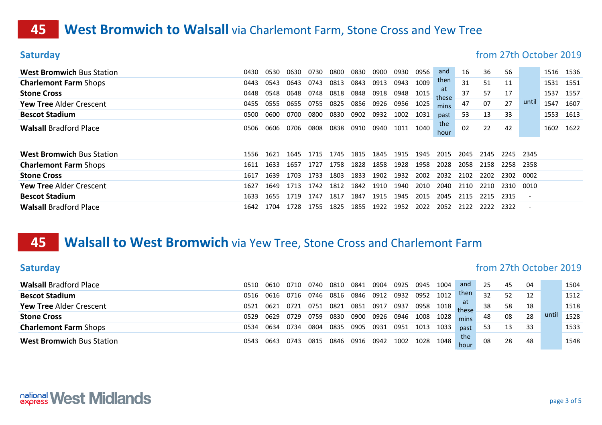## **45 West Bromwich to Walsall** via Charlemont Farm, Stone Cross and Yew Tree

| <b>Saturday</b>                  |      |      |      |      |      |      |      |      |      |                    |      |      |      | from 27th October 2019   |      |      |
|----------------------------------|------|------|------|------|------|------|------|------|------|--------------------|------|------|------|--------------------------|------|------|
| <b>West Bromwich Bus Station</b> | 0430 | 0530 | 0630 | 0730 | 0800 | 0830 | 0900 | 0930 | 0956 | and                | 16   | 36   | 56   |                          | 1516 | 1536 |
| <b>Charlemont Farm Shops</b>     | 0443 | 0543 | 0643 | 0743 | 0813 | 0843 | 0913 | 0943 | 1009 | then               | 31   | 51   | 11   |                          | 1531 | 1551 |
| <b>Stone Cross</b>               | 0448 | 0548 | 0648 | 0748 | 0818 | 0848 | 0918 | 0948 | 1015 | <b>at</b><br>these | 37   | 57   | 17   |                          | 1537 | 1557 |
| <b>Yew Tree Alder Crescent</b>   | 0455 | 0555 | 0655 | 0755 | 0825 | 0856 | 0926 | 0956 | 1025 | mins               | 47   | 07   | 27   | until                    | 1547 | 1607 |
| <b>Bescot Stadium</b>            | 0500 | 0600 | 0700 | 0800 | 0830 | 0902 | 0932 | 1002 | 1031 | past               | 53   | 13   | 33   |                          | 1553 | 1613 |
| <b>Walsall Bradford Place</b>    | 0506 | 0606 | 0706 | 0808 | 0838 | 0910 | 0940 | 1011 | 1040 | the<br>hour        | 02   | 22   | 42   |                          | 1602 | 1622 |
| <b>West Bromwich Bus Station</b> | 1556 | 1621 | 1645 | 1715 | 1745 | 1815 | 1845 | 1915 | 1945 | 2015               | 2045 | 2145 | 2245 | 2345                     |      |      |
| <b>Charlemont Farm Shops</b>     | 1611 | 1633 | 1657 | 1727 | 1758 | 1828 | 1858 | 1928 | 1958 | 2028               | 2058 | 2158 | 2258 | 2358                     |      |      |
| <b>Stone Cross</b>               | 1617 | 1639 | 1703 | 1733 | 1803 | 1833 | 1902 | 1932 | 2002 | 2032               | 2102 | 2202 | 2302 | 0002                     |      |      |
| <b>Yew Tree Alder Crescent</b>   | 1627 | 1649 | 1713 | 1742 | 1812 | 1842 | 1910 | 1940 | 2010 | 2040               | 2110 | 2210 | 2310 | 0010                     |      |      |
| <b>Bescot Stadium</b>            | 1633 | 1655 | 1719 | 1747 | 1817 | 1847 | 1915 | 1945 | 2015 | 2045               | 2115 | 2215 | 2315 | $\overline{\phantom{a}}$ |      |      |
| <b>Walsall Bradford Place</b>    | 1642 | 1704 | 1728 | 1755 | 1825 | 1855 | 1922 | 1952 | 2022 | 2052               | 2122 | 2222 | 2322 |                          |      |      |

### **45 Walsall to West Bromwich** via Yew Tree, Stone Cross and Charlemont Farm

| <b>Saturday</b>                  |      |      |      |      |      |      |      |      |      |      |             |    |    |    | from 27th October 2019 |      |
|----------------------------------|------|------|------|------|------|------|------|------|------|------|-------------|----|----|----|------------------------|------|
| <b>Walsall Bradford Place</b>    | 0510 | 0610 | 0710 | 0740 | 0810 | 0841 | 0904 | 0925 | 0945 | 1004 | and         | 25 | 45 | 04 |                        | 1504 |
| <b>Bescot Stadium</b>            | 0516 | 0616 | 0716 | 0746 | 0816 | 0846 | 0912 | 0932 | 0952 | 1012 | then        | 32 | 52 | 12 |                        | 1512 |
| <b>Yew Tree Alder Crescent</b>   | 0521 | 0621 | 0721 | 0751 | 0821 | 0851 | 0917 | 0937 | 0958 | 1018 | at<br>these | 38 | 58 | 18 |                        | 1518 |
| <b>Stone Cross</b>               | 0529 | 0629 | 0729 | 0759 | 0830 | 0900 | 0926 | 0946 | 1008 | 1028 | mins        | 48 | 08 | 28 | until                  | 1528 |
| <b>Charlemont Farm Shops</b>     | 0534 | 0634 | 0734 | 0804 | 0835 | 0905 | 0931 | 0951 | 1013 | 1033 | past        | 53 | 13 | 33 |                        | 1533 |
| <b>West Bromwich Bus Station</b> | 0543 | 0643 | 0743 | 0815 | 0846 | 0916 | 0942 | 1002 | 1028 | 1048 | the<br>hour | 08 | 28 | 48 |                        | 1548 |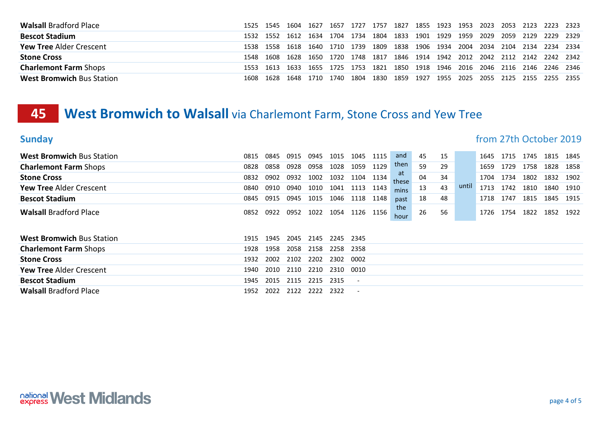| <b>Walsall Bradford Place</b>    |      |      | 1525 1545 1604 1627 1657      |  | 1727 1757 |                                                                  |  |  |  | 1827 1855 1923 1953 2023 2053 2123 2223 2323                               |           |  |
|----------------------------------|------|------|-------------------------------|--|-----------|------------------------------------------------------------------|--|--|--|----------------------------------------------------------------------------|-----------|--|
| <b>Bescot Stadium</b>            |      |      |                               |  |           |                                                                  |  |  |  | 1532 1552 1612 1634 1704 1734 1804 1833 1901 1929 1959 2029 2059 2129      | 2229 2329 |  |
| <b>Yew Tree Alder Crescent</b>   | 1538 |      |                               |  |           | 1558 1618 1640 1710 1739 1809 1838 1906 1934 2004 2034 2104 2134 |  |  |  |                                                                            | 2234 2334 |  |
| <b>Stone Cross</b>               | 1548 |      |                               |  |           |                                                                  |  |  |  | 1608 1628 1650 1720 1748 1817 1846 1914 1942 2012 2042 2112 2142 2242 2342 |           |  |
| <b>Charlemont Farm Shops</b>     | 1553 |      | 1613 1633 1655 1725 1753 1821 |  |           |                                                                  |  |  |  | 1850 1918 1946 2016 2046 2116 2146 2246 2346                               |           |  |
| <b>West Bromwich Bus Station</b> | 1608 | 1628 | 1648 1710 1740 1804 1830      |  |           |                                                                  |  |  |  | 1859 1927 1955 2025 2055 2125 2155 2255 2355                               |           |  |

### **45 West Bromwich to Walsall** via Charlemont Farm, Stone Cross and Yew Tree

### Sunday **Sunday from 27th October 2019**

| <b>West Bromwich Bus Station</b> | 0815 | 0845 | 0915 | 0945 | 1015 | 1045  | 1115 | and                | 45 | 15 |       | 1645 | 1715 | 1745 | 1815 | 1845 |
|----------------------------------|------|------|------|------|------|-------|------|--------------------|----|----|-------|------|------|------|------|------|
| <b>Charlemont Farm Shops</b>     | 0828 | 0858 | 0928 | 0958 | 1028 | 1059  | 1129 | then               | 59 | 29 |       | 1659 | 1729 | 1758 | 1828 | 1858 |
| <b>Stone Cross</b>               | 0832 | 0902 | 0932 | 1002 | 1032 | 1104  | 1134 | <b>at</b><br>these | 04 | 34 |       | 1704 | 1734 | 1802 | 1832 | 1902 |
| <b>Yew Tree Alder Crescent</b>   | 0840 | 0910 | 0940 | 1010 | 1041 | 1113  | 1143 | mins               | 13 | 43 | until | 1713 | 1742 | 1810 | 1840 | 1910 |
| <b>Bescot Stadium</b>            | 0845 | 0915 | 0945 | 1015 | 1046 | 1118  | 1148 | past               | 18 | 48 |       | 1718 | 1747 | 1815 | 1845 | 1915 |
| <b>Walsall Bradford Place</b>    | 0852 | 0922 | 0952 | 1022 | 1054 | 1126  | 1156 | the<br>hour        | 26 | 56 |       | 1726 | 1754 | 1822 | 1852 | 1922 |
|                                  |      |      |      |      |      |       |      |                    |    |    |       |      |      |      |      |      |
| <b>West Bromwich Bus Station</b> | 1915 | 1945 | 2045 | 2145 | 2245 | -2345 |      |                    |    |    |       |      |      |      |      |      |
| <b>Charlemont Farm Shops</b>     | 1928 | 1958 | 2058 | 2158 | 2258 | 2358  |      |                    |    |    |       |      |      |      |      |      |
| <b>Stone Cross</b>               | 1932 | 2002 | 2102 | 2202 | 2302 | 0002  |      |                    |    |    |       |      |      |      |      |      |
| <b>Yew Tree Alder Crescent</b>   | 1940 | 2010 | 2110 | 2210 | 2310 | 0010  |      |                    |    |    |       |      |      |      |      |      |
| <b>Bescot Stadium</b>            | 1945 | 2015 | 2115 | 2215 | 2315 |       |      |                    |    |    |       |      |      |      |      |      |